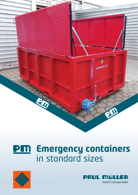

## **Emergency containers** in standard sizes





macht's transportabel